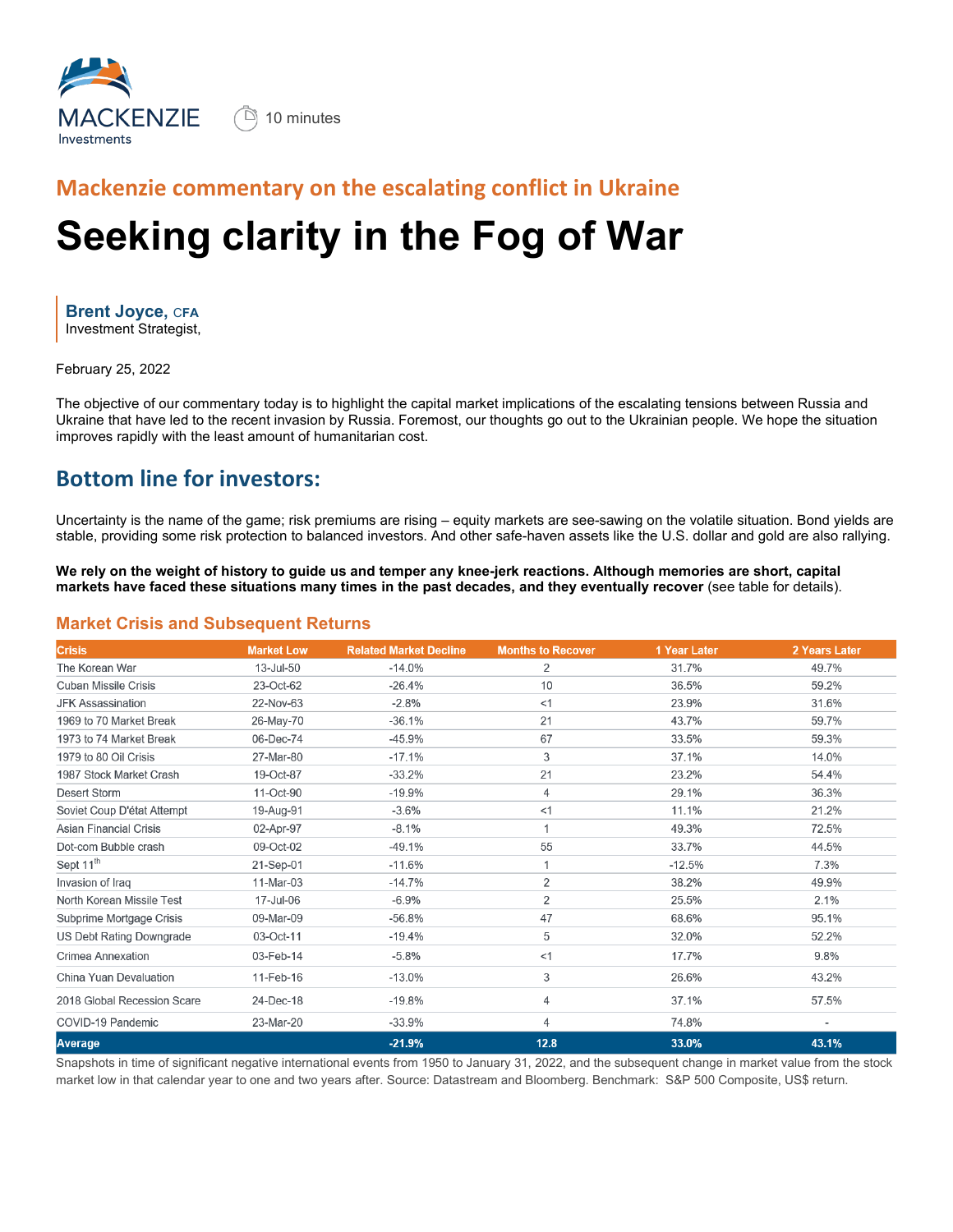

 $\left(\begin{array}{ccc} \Box \end{array}\right)$  10 minutes

## **Mackenzie commentary on the escalating conflict in Ukraine**

# **Seeking clarity in the Fog of War**

**Brent Joyce,** C**FA** Investment Strategist,

February 25, 2022

The objective of our commentary today is to highlight the capital market implications of the escalating tensions between Russia and Ukraine that have led to the recent invasion by Russia. Foremost, our thoughts go out to the Ukrainian people. We hope the situation improves rapidly with the least amount of humanitarian cost.

#### **Bottom line for investors:**

Uncertainty is the name of the game; risk premiums are rising – equity markets are see-sawing on the volatile situation. Bond yields are stable, providing some risk protection to balanced investors. And other safe-haven assets like the U.S. dollar and gold are also rallying.

**We rely on the weight of history to guide us and temper any knee-jerk reactions. Although memories are short, capital markets have faced these situations many times in the past decades, and they eventually recover** (see table for details).

#### **Market Crisis and Subsequent Returns**

| <b>Crisis</b>                 | <b>Market Low</b> | <b>Related Market Decline</b> | <b>Months to Recover</b> | 1 Year Later | 2 Years Later |
|-------------------------------|-------------------|-------------------------------|--------------------------|--------------|---------------|
| The Korean War                | 13-Jul-50         | $-14.0%$                      | 2                        | 31.7%        | 49.7%         |
| <b>Cuban Missile Crisis</b>   | 23-Oct-62         | $-26.4%$                      | 10                       | 36.5%        | 59.2%         |
| <b>JFK Assassination</b>      | 22-Nov-63         | $-2.8%$                       | <1                       | 23.9%        | 31.6%         |
| 1969 to 70 Market Break       | 26-May-70         | $-36.1%$                      | 21                       | 43.7%        | 59.7%         |
| 1973 to 74 Market Break       | 06-Dec-74         | $-45.9%$                      | 67                       | 33.5%        | 59.3%         |
| 1979 to 80 Oil Crisis         | 27-Mar-80         | $-17.1%$                      | 3                        | 37.1%        | 14.0%         |
| 1987 Stock Market Crash       | 19-Oct-87         | $-33.2%$                      | 21                       | 23.2%        | 54.4%         |
| <b>Desert Storm</b>           | 11-Oct-90         | $-19.9%$                      | 4                        | 29.1%        | 36.3%         |
| Soviet Coup D'état Attempt    | 19-Aug-91         | $-3.6%$                       | <1                       | 11.1%        | 21.2%         |
| <b>Asian Financial Crisis</b> | 02-Apr-97         | $-8.1%$                       |                          | 49.3%        | 72.5%         |
| Dot-com Bubble crash          | 09-Oct-02         | $-49.1%$                      | 55                       | 33.7%        | 44.5%         |
| Sept 11 <sup>th</sup>         | 21-Sep-01         | $-11.6%$                      |                          | $-12.5%$     | 7.3%          |
| Invasion of Iraq              | 11-Mar-03         | $-14.7%$                      | $\overline{2}$           | 38.2%        | 49.9%         |
| North Korean Missile Test     | 17-Jul-06         | $-6.9%$                       | $\overline{2}$           | 25.5%        | 2.1%          |
| Subprime Mortgage Crisis      | 09-Mar-09         | $-56.8%$                      | 47                       | 68.6%        | 95.1%         |
| US Debt Rating Downgrade      | 03-Oct-11         | $-19.4%$                      | 5                        | 32.0%        | 52.2%         |
| Crimea Annexation             | 03-Feb-14         | $-5.8%$                       | <1                       | 17.7%        | 9.8%          |
| China Yuan Devaluation        | 11-Feb-16         | $-13.0%$                      | 3                        | 26.6%        | 43.2%         |
| 2018 Global Recession Scare   | 24-Dec-18         | $-19.8%$                      | 4                        | 37.1%        | 57.5%         |
| COVID-19 Pandemic             | 23-Mar-20         | $-33.9%$                      | 4                        | 74.8%        |               |
| <b>Average</b>                |                   | $-21.9%$                      | 12.8                     | 33.0%        | 43.1%         |

Snapshots in time of significant negative international events from 1950 to January 31, 2022, and the subsequent change in market value from the stock market low in that calendar year to one and two years after. Source: Datastream and Bloomberg. Benchmark: S&P 500 Composite, US\$ return.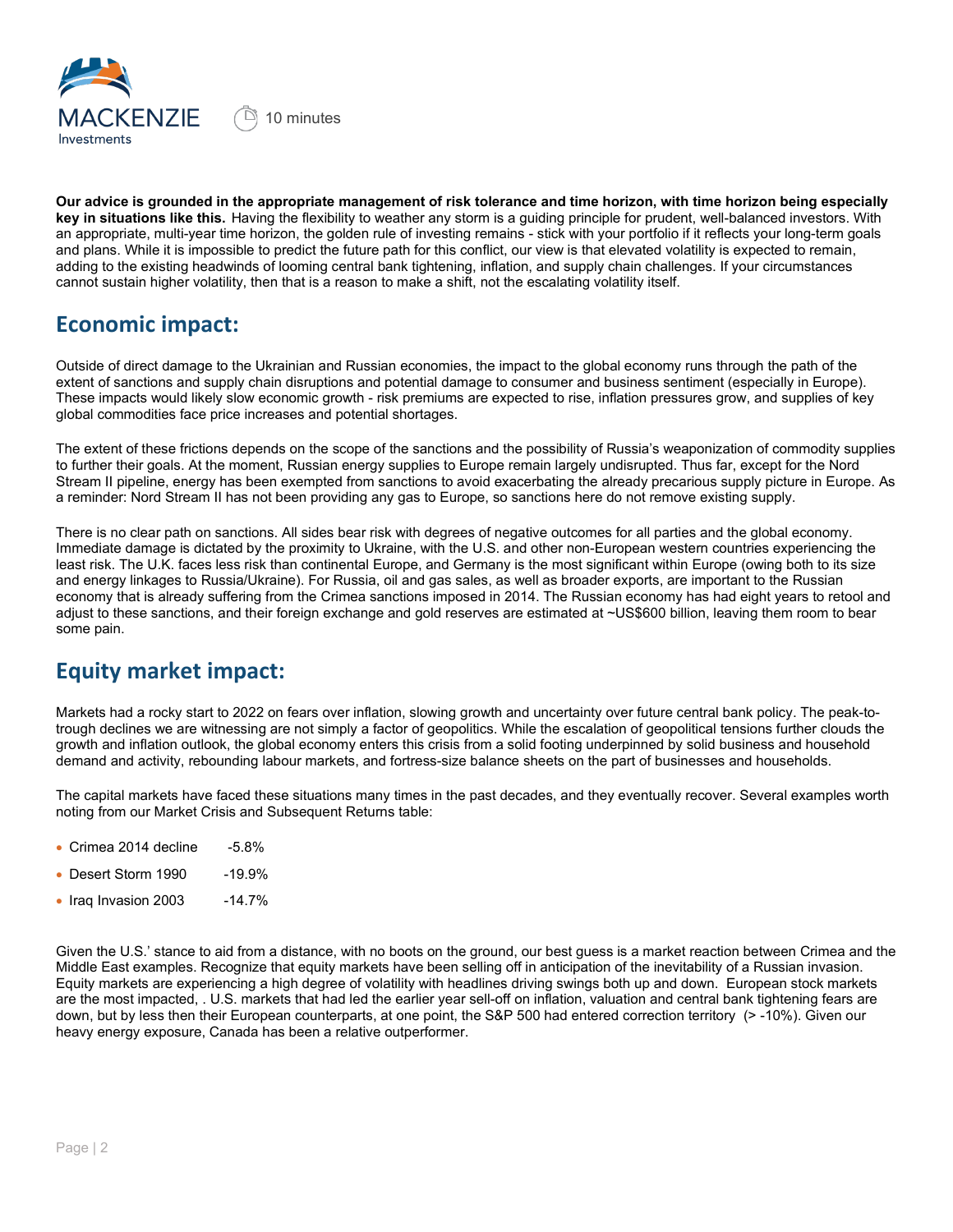

**Our advice is grounded in the appropriate management of risk tolerance and time horizon, with time horizon being especially key in situations like this.** Having the flexibility to weather any storm is a guiding principle for prudent, well-balanced investors. With an appropriate, multi-year time horizon, the golden rule of investing remains - stick with your portfolio if it reflects your long-term goals and plans. While it is impossible to predict the future path for this conflict, our view is that elevated volatility is expected to remain, adding to the existing headwinds of looming central bank tightening, inflation, and supply chain challenges. If your circumstances cannot sustain higher volatility, then that is a reason to make a shift, not the escalating volatility itself.

#### **Economic impact:**

Outside of direct damage to the Ukrainian and Russian economies, the impact to the global economy runs through the path of the extent of sanctions and supply chain disruptions and potential damage to consumer and business sentiment (especially in Europe). These impacts would likely slow economic growth - risk premiums are expected to rise, inflation pressures grow, and supplies of key global commodities face price increases and potential shortages.

The extent of these frictions depends on the scope of the sanctions and the possibility of Russia's weaponization of commodity supplies to further their goals. At the moment, Russian energy supplies to Europe remain largely undisrupted. Thus far, except for the Nord Stream II pipeline, energy has been exempted from sanctions to avoid exacerbating the already precarious supply picture in Europe. As a reminder: Nord Stream II has not been providing any gas to Europe, so sanctions here do not remove existing supply.

There is no clear path on sanctions. All sides bear risk with degrees of negative outcomes for all parties and the global economy. Immediate damage is dictated by the proximity to Ukraine, with the U.S. and other non-European western countries experiencing the least risk. The U.K. faces less risk than continental Europe, and Germany is the most significant within Europe (owing both to its size and energy linkages to Russia/Ukraine). For Russia, oil and gas sales, as well as broader exports, are important to the Russian economy that is already suffering from the Crimea sanctions imposed in 2014. The Russian economy has had eight years to retool and adjust to these sanctions, and their foreign exchange and gold reserves are estimated at ~US\$600 billion, leaving them room to bear some pain.

## **Equity market impact:**

Markets had a rocky start to 2022 on fears over inflation, slowing growth and uncertainty over future central bank policy. The peak-totrough declines we are witnessing are not simply a factor of geopolitics. While the escalation of geopolitical tensions further clouds the growth and inflation outlook, the global economy enters this crisis from a solid footing underpinned by solid business and household demand and activity, rebounding labour markets, and fortress-size balance sheets on the part of businesses and households.

The capital markets have faced these situations many times in the past decades, and they eventually recover. Several examples worth noting from our Market Crisis and Subsequent Returns table:

- Crimea 2014 decline -5.8%
- Desert Storm 1990 -19.9%
- $\bullet$  Iraq Invasion 2003  $\bullet$  -14.7%

Given the U.S.' stance to aid from a distance, with no boots on the ground, our best guess is a market reaction between Crimea and the Middle East examples. Recognize that equity markets have been selling off in anticipation of the inevitability of a Russian invasion. Equity markets are experiencing a high degree of volatility with headlines driving swings both up and down. European stock markets are the most impacted, . U.S. markets that had led the earlier year sell-off on inflation, valuation and central bank tightening fears are down, but by less then their European counterparts, at one point, the S&P 500 had entered correction territory (> -10%). Given our heavy energy exposure, Canada has been a relative outperformer.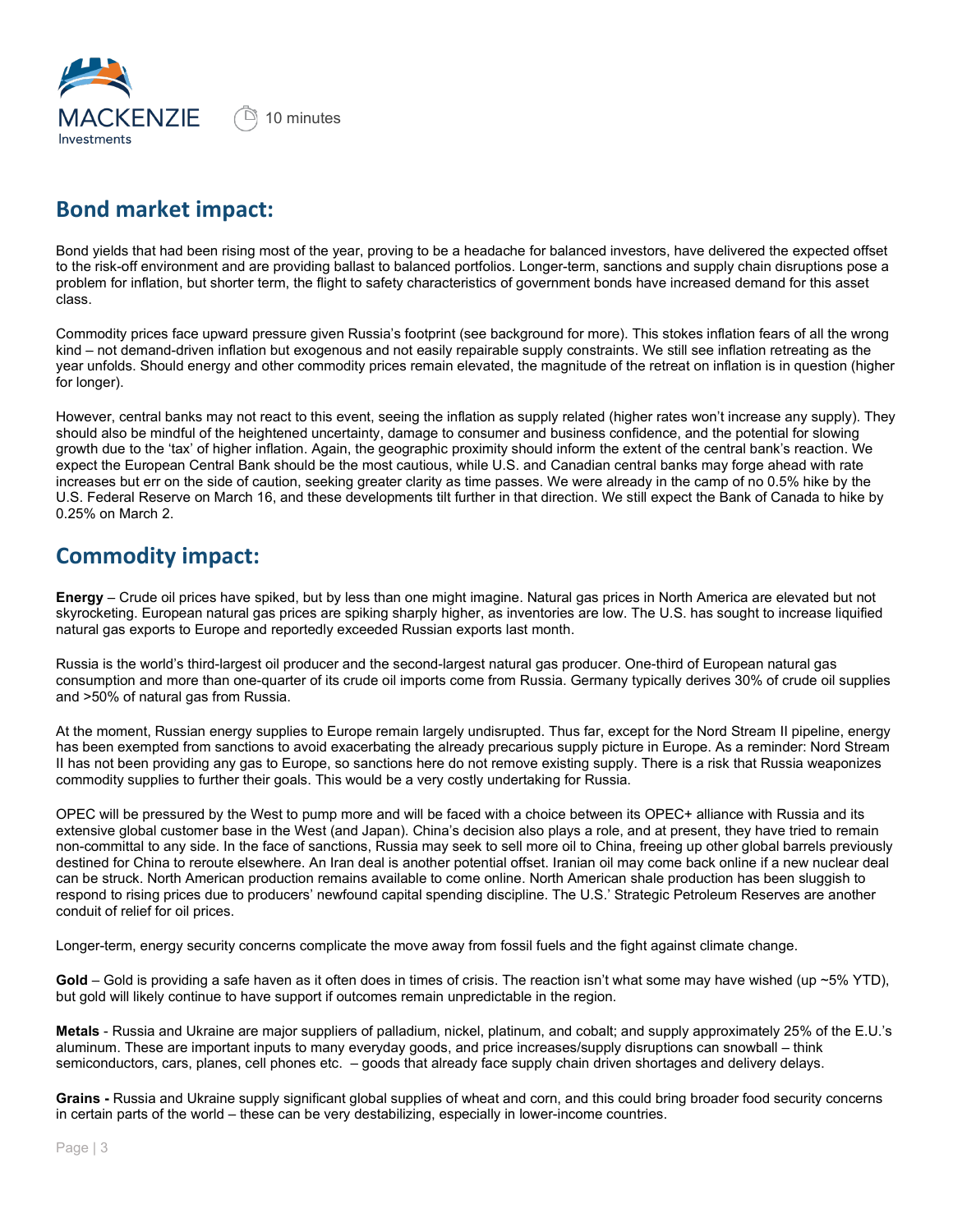

## **Bond market impact:**

Bond yields that had been rising most of the year, proving to be a headache for balanced investors, have delivered the expected offset to the risk-off environment and are providing ballast to balanced portfolios. Longer-term, sanctions and supply chain disruptions pose a problem for inflation, but shorter term, the flight to safety characteristics of government bonds have increased demand for this asset class.

Commodity prices face upward pressure given Russia's footprint (see background for more). This stokes inflation fears of all the wrong kind – not demand-driven inflation but exogenous and not easily repairable supply constraints. We still see inflation retreating as the year unfolds. Should energy and other commodity prices remain elevated, the magnitude of the retreat on inflation is in question (higher for longer).

However, central banks may not react to this event, seeing the inflation as supply related (higher rates won't increase any supply). They should also be mindful of the heightened uncertainty, damage to consumer and business confidence, and the potential for slowing growth due to the 'tax' of higher inflation. Again, the geographic proximity should inform the extent of the central bank's reaction. We expect the European Central Bank should be the most cautious, while U.S. and Canadian central banks may forge ahead with rate increases but err on the side of caution, seeking greater clarity as time passes. We were already in the camp of no 0.5% hike by the U.S. Federal Reserve on March 16, and these developments tilt further in that direction. We still expect the Bank of Canada to hike by 0.25% on March 2.

#### **Commodity impact:**

**Energy** – Crude oil prices have spiked, but by less than one might imagine. Natural gas prices in North America are elevated but not skyrocketing. European natural gas prices are spiking sharply higher, as inventories are low. The U.S. has sought to increase liquified natural gas exports to Europe and reportedly exceeded Russian exports last month.

Russia is the world's third-largest oil producer and the second-largest natural gas producer. One-third of European natural gas consumption and more than one-quarter of its crude oil imports come from Russia. Germany typically derives 30% of crude oil supplies and >50% of natural gas from Russia.

At the moment, Russian energy supplies to Europe remain largely undisrupted. Thus far, except for the Nord Stream II pipeline, energy has been exempted from sanctions to avoid exacerbating the already precarious supply picture in Europe. As a reminder: Nord Stream II has not been providing any gas to Europe, so sanctions here do not remove existing supply. There is a risk that Russia weaponizes commodity supplies to further their goals. This would be a very costly undertaking for Russia.

OPEC will be pressured by the West to pump more and will be faced with a choice between its OPEC+ alliance with Russia and its extensive global customer base in the West (and Japan). China's decision also plays a role, and at present, they have tried to remain non-committal to any side. In the face of sanctions, Russia may seek to sell more oil to China, freeing up other global barrels previously destined for China to reroute elsewhere. An Iran deal is another potential offset. Iranian oil may come back online if a new nuclear deal can be struck. North American production remains available to come online. North American shale production has been sluggish to respond to rising prices due to producers' newfound capital spending discipline. The U.S.' Strategic Petroleum Reserves are another conduit of relief for oil prices.

Longer-term, energy security concerns complicate the move away from fossil fuels and the fight against climate change.

**Gold** – Gold is providing a safe haven as it often does in times of crisis. The reaction isn't what some may have wished (up ~5% YTD), but gold will likely continue to have support if outcomes remain unpredictable in the region.

**Metals** - Russia and Ukraine are major suppliers of palladium, nickel, platinum, and cobalt; and supply approximately 25% of the E.U.'s aluminum. These are important inputs to many everyday goods, and price increases/supply disruptions can snowball – think semiconductors, cars, planes, cell phones etc. – goods that already face supply chain driven shortages and delivery delays.

**Grains -** Russia and Ukraine supply significant global supplies of wheat and corn, and this could bring broader food security concerns in certain parts of the world – these can be very destabilizing, especially in lower-income countries.